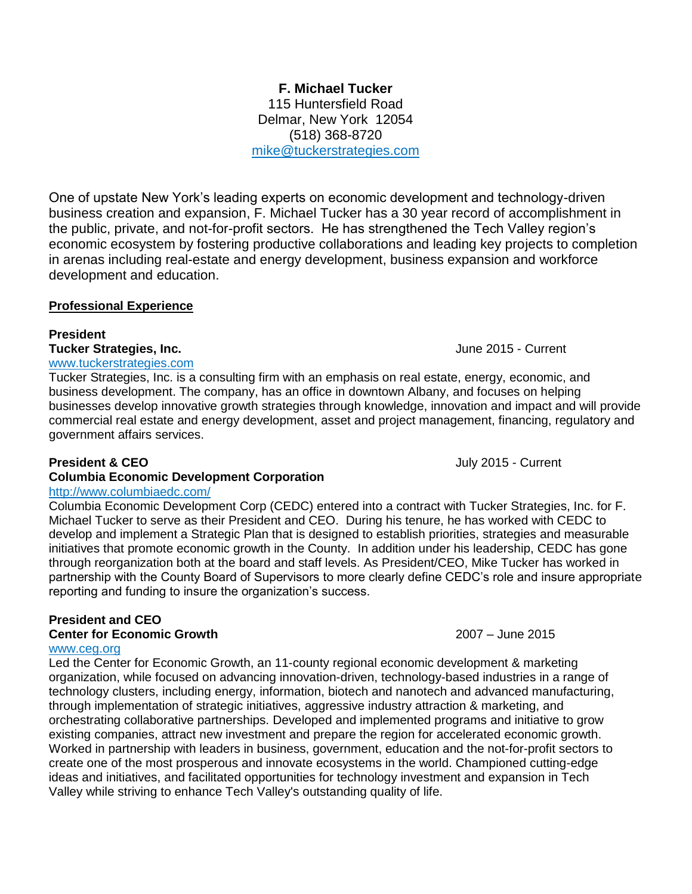115 Huntersfield Road Delmar, New York 12054 (518) 368-8720 [mike@tuckerstrategies.com](mailto:mike@tuckerstrategies.com)

**F. Michael Tucker**

One of upstate New York's leading experts on economic development and technology-driven business creation and expansion, F. Michael Tucker has a 30 year record of accomplishment in the public, private, and not-for-profit sectors. He has strengthened the Tech Valley region's economic ecosystem by fostering productive collaborations and leading key projects to completion in arenas including real-estate and energy development, business expansion and workforce development and education.

# **Professional Experience**

# **President**

# **Tucker Strategies, Inc.** June 2015 - Current

# [www.tuckerstrategies.com](http://www.tuckerstrategies.com/)

Tucker Strategies, Inc. is a consulting firm with an emphasis on real estate, energy, economic, and business development. The company, has an office in downtown Albany, and focuses on helping businesses develop innovative growth strategies through knowledge, innovation and impact and will provide commercial real estate and energy development, asset and project management, financing, regulatory and government affairs services.

# **President & CEO July 2015 - Current**

# **Columbia Economic Development Corporation**

<http://www.columbiaedc.com/>

Columbia Economic Development Corp (CEDC) entered into a contract with Tucker Strategies, Inc. for F. Michael Tucker to serve as their President and CEO. During his tenure, he has worked with CEDC to develop and implement a Strategic Plan that is designed to establish priorities, strategies and measurable initiatives that promote economic growth in the County. In addition under his leadership, CEDC has gone through reorganization both at the board and staff levels. As President/CEO, Mike Tucker has worked in partnership with the County Board of Supervisors to more clearly define CEDC's role and insure appropriate reporting and funding to insure the organization's success.

# **President and CEO**

# **Center for Economic Growth** 2007 – June 2015

# [www.ceg.org](http://www.ceg.org/)

Led the Center for Economic Growth, an 11-county regional economic development & marketing organization, while focused on advancing innovation-driven, technology-based industries in a range of technology clusters, including energy, information, biotech and nanotech and advanced manufacturing, through implementation of strategic initiatives, aggressive industry attraction & marketing, and orchestrating collaborative partnerships. Developed and implemented programs and initiative to grow existing companies, attract new investment and prepare the region for accelerated economic growth. Worked in partnership with leaders in business, government, education and the not-for-profit sectors to create one of the most prosperous and innovate ecosystems in the world. Championed cutting-edge ideas and initiatives, and facilitated opportunities for technology investment and expansion in Tech Valley while striving to enhance Tech Valley's outstanding quality of life.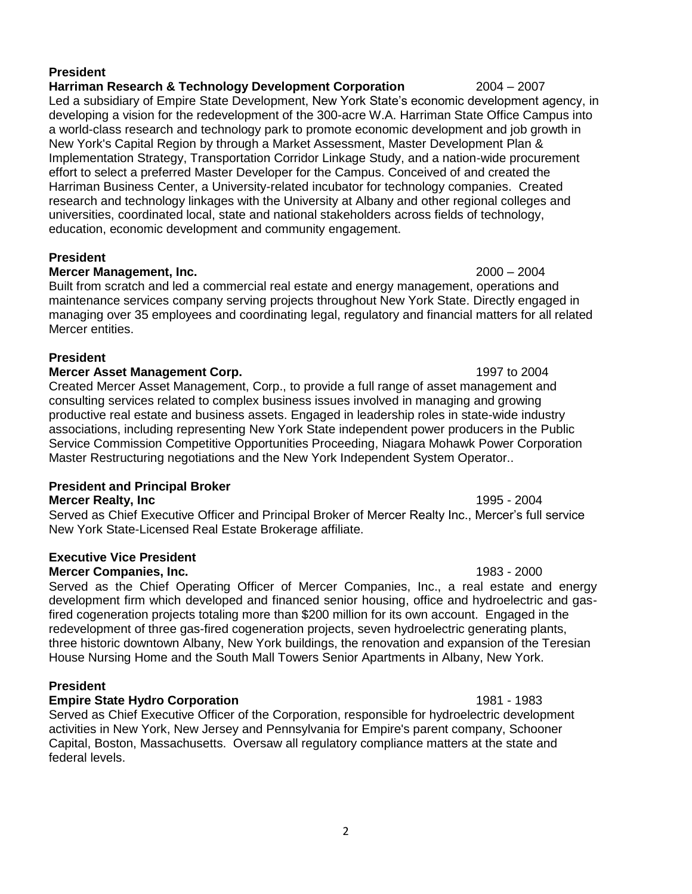# **President**

## **Harriman Research & Technology Development Corporation** 2004 – 2007

Led a subsidiary of Empire State Development, New York State's economic development agency, in developing a vision for the redevelopment of the 300-acre W.A. Harriman State Office Campus into a world-class research and technology park to promote economic development and job growth in New York's Capital Region by through a Market Assessment, Master Development Plan & Implementation Strategy, Transportation Corridor Linkage Study, and a nation-wide procurement effort to select a preferred Master Developer for the Campus. Conceived of and created the Harriman Business Center, a University-related incubator for technology companies. Created research and technology linkages with the University at Albany and other regional colleges and universities, coordinated local, state and national stakeholders across fields of technology, education, economic development and community engagement.

### **President**

## **Mercer Management, Inc.** 2000 – 2004

Built from scratch and led a commercial real estate and energy management, operations and maintenance services company serving projects throughout New York State. Directly engaged in managing over 35 employees and coordinating legal, regulatory and financial matters for all related Mercer entities.

# **President**

## **Mercer Asset Management Corp.** 1997 to 2004

Created Mercer Asset Management, Corp., to provide a full range of asset management and consulting services related to complex business issues involved in managing and growing productive real estate and business assets. Engaged in leadership roles in state-wide industry associations, including representing New York State independent power producers in the Public Service Commission Competitive Opportunities Proceeding, Niagara Mohawk Power Corporation Master Restructuring negotiations and the New York Independent System Operator..

# **President and Principal Broker**

**Mercer Realty, Inc** 1995 - 2004

Served as Chief Executive Officer and Principal Broker of Mercer Realty Inc., Mercer's full service New York State-Licensed Real Estate Brokerage affiliate.

# **Executive Vice President**

### **Mercer Companies, Inc.** 1983 - 2000

Served as the Chief Operating Officer of Mercer Companies, Inc., a real estate and energy development firm which developed and financed senior housing, office and hydroelectric and gasfired cogeneration projects totaling more than \$200 million for its own account. Engaged in the redevelopment of three gas-fired cogeneration projects, seven hydroelectric generating plants, three historic downtown Albany, New York buildings, the renovation and expansion of the Teresian House Nursing Home and the South Mall Towers Senior Apartments in Albany, New York.

# **President**

# **Empire State Hydro Corporation** 1981 - 1983

Served as Chief Executive Officer of the Corporation, responsible for hydroelectric development activities in New York, New Jersey and Pennsylvania for Empire's parent company, Schooner Capital, Boston, Massachusetts. Oversaw all regulatory compliance matters at the state and federal levels.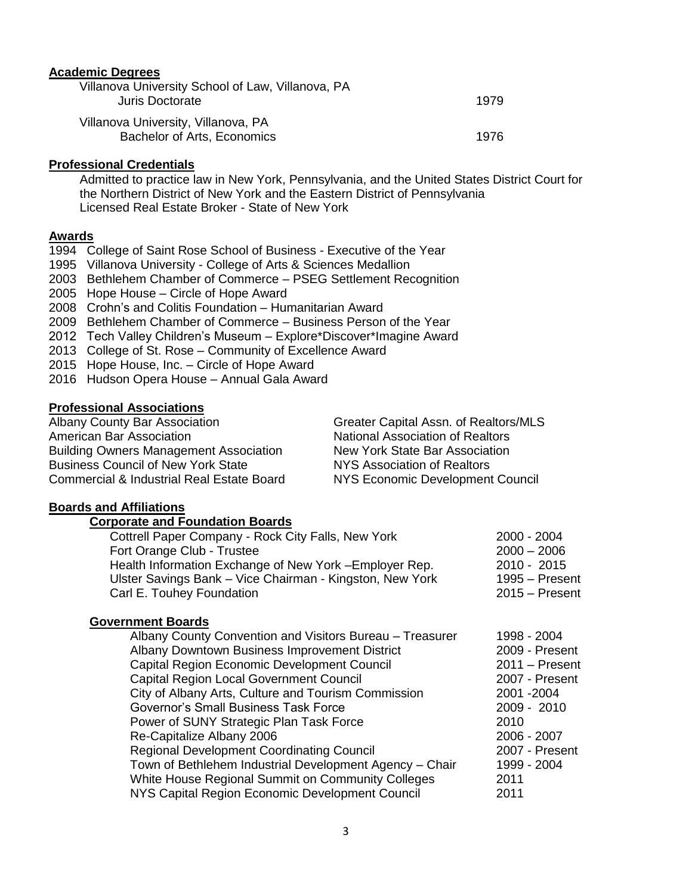### **Academic Degrees**

| Villanova University School of Law, Villanova, PA<br>Juris Doctorate | 1979  |
|----------------------------------------------------------------------|-------|
| Villanova University, Villanova, PA<br>Bachelor of Arts, Economics   | 1976. |

## **Professional Credentials**

Admitted to practice law in New York, Pennsylvania, and the United States District Court for the Northern District of New York and the Eastern District of Pennsylvania Licensed Real Estate Broker - State of New York

## **Awards**

- 1994 College of Saint Rose School of Business Executive of the Year
- 1995 Villanova University College of Arts & Sciences Medallion
- 2003 Bethlehem Chamber of Commerce PSEG Settlement Recognition
- 2005 Hope House Circle of Hope Award
- 2008 Crohn's and Colitis Foundation Humanitarian Award
- 2009 Bethlehem Chamber of Commerce Business Person of the Year
- 2012 Tech Valley Children's Museum Explore\*Discover\*Imagine Award
- 2013 College of St. Rose Community of Excellence Award
- 2015 Hope House, Inc. Circle of Hope Award
- 2016 Hudson Opera House Annual Gala Award

## **Professional Associations**

| Greater Capital Assn. of Realtors/MLS   |
|-----------------------------------------|
| <b>National Association of Realtors</b> |
| New York State Bar Association          |
| NYS Association of Realtors             |
| NYS Economic Development Council        |
|                                         |

### **Boards and Affiliations**

# **Corporate and Foundation Boards**

| Cottrell Paper Company - Rock City Falls, New York       | 2000 - 2004      |
|----------------------------------------------------------|------------------|
| Fort Orange Club - Trustee                               | $2000 - 2006$    |
| Health Information Exchange of New York - Employer Rep.  | 2010 - 2015      |
| Ulster Savings Bank - Vice Chairman - Kingston, New York | 1995 - Present   |
| Carl E. Touhey Foundation                                | $2015 -$ Present |
|                                                          |                  |

### **Government Boards**

| Albany County Convention and Visitors Bureau - Treasurer | 1998 - 2004      |
|----------------------------------------------------------|------------------|
| Albany Downtown Business Improvement District            | 2009 - Present   |
| Capital Region Economic Development Council              | $2011 -$ Present |
| <b>Capital Region Local Government Council</b>           | 2007 - Present   |
| City of Albany Arts, Culture and Tourism Commission      | 2001 - 2004      |
| Governor's Small Business Task Force                     | 2009 - 2010      |
| Power of SUNY Strategic Plan Task Force                  | 2010             |
| Re-Capitalize Albany 2006                                | 2006 - 2007      |
| <b>Regional Development Coordinating Council</b>         | 2007 - Present   |
| Town of Bethlehem Industrial Development Agency - Chair  | 1999 - 2004      |
| White House Regional Summit on Community Colleges        | 2011             |
| NYS Capital Region Economic Development Council          | 2011             |